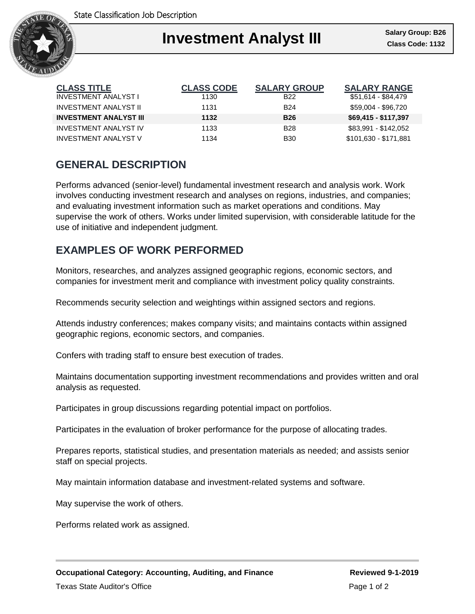

### Ι **Investment Analyst III**

| <b>CLASS TITLE</b>            | <b>CLASS CODE</b> | <b>SALARY GROUP</b> | <b>SALARY RANGE</b>   |
|-------------------------------|-------------------|---------------------|-----------------------|
| <b>INVESTMENT ANALYST I</b>   | 1130              | <b>B22</b>          | \$51,614 - \$84,479   |
| <b>INVESTMENT ANALYST II</b>  | 1131              | <b>B24</b>          | \$59.004 - \$96.720   |
| <b>INVESTMENT ANALYST III</b> | 1132              | <b>B26</b>          | \$69,415 - \$117,397  |
| <b>INVESTMENT ANALYST IV</b>  | 1133              | <b>B28</b>          | \$83,991 - \$142,052  |
| <b>INVESTMENT ANALYST V</b>   | 1134              | <b>B30</b>          | \$101,630 - \$171,881 |

# **GENERAL DESCRIPTION**

Performs advanced (senior-level) fundamental investment research and analysis work. Work involves conducting investment research and analyses on regions, industries, and companies; and evaluating investment information such as market operations and conditions. May supervise the work of others. Works under limited supervision, with considerable latitude for the use of initiative and independent judgment.

## **EXAMPLES OF WORK PERFORMED**

Monitors, researches, and analyzes assigned geographic regions, economic sectors, and companies for investment merit and compliance with investment policy quality constraints.

Recommends security selection and weightings within assigned sectors and regions.

Attends industry conferences; makes company visits; and maintains contacts within assigned geographic regions, economic sectors, and companies.

Confers with trading staff to ensure best execution of trades.

Maintains documentation supporting investment recommendations and provides written and oral analysis as requested.

Participates in group discussions regarding potential impact on portfolios.

Participates in the evaluation of broker performance for the purpose of allocating trades.

Prepares reports, statistical studies, and presentation materials as needed; and assists senior staff on special projects.

May maintain information database and investment-related systems and software.

May supervise the work of others.

Performs related work as assigned.